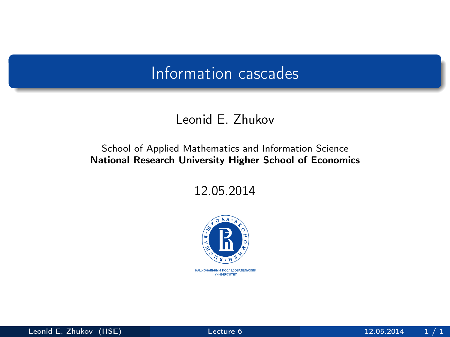#### Leonid E. Zhukov

#### School of Applied Mathematics and Information Science National Research University Higher School of Economics

12.05.2014



<span id="page-0-0"></span>НАЦИОНАЛЬНЫЙ ИССЛЕДОВАТЕЛЬСКИЙ *YHMBEPCWTET*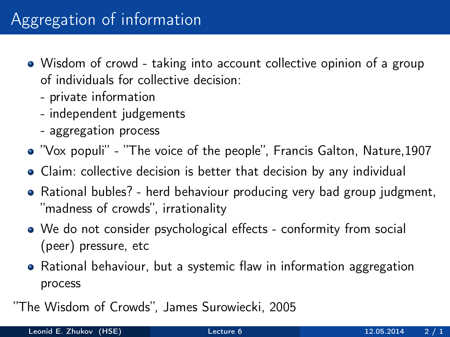- Wisdom of crowd taking into account collective opinion of a group of individuals for collective decision:
	- private information
	- independent judgements
	- aggregation process
- "Vox populi" "The voice of the people", Francis Galton, Nature,1907
- Claim: collective decision is better that decision by any individual
- Rational bubles? herd behaviour producing very bad group judgment, "madness of crowds", irrationality
- We do not consider psychological effects conformity from social (peer) pressure, etc
- Rational behaviour, but a systemic flaw in information aggregation process
- "The Wisdom of Crowds", James Surowiecki, 2005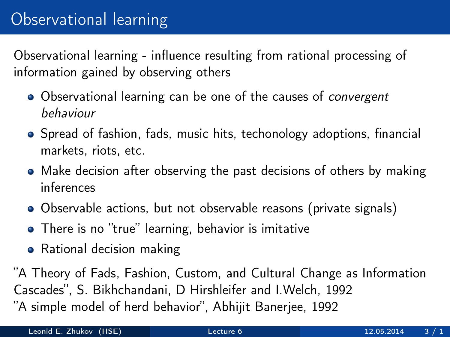# Observational learning

Observational learning - influence resulting from rational processing of information gained by observing others

- Observational learning can be one of the causes of *convergent* behaviour
- Spread of fashion, fads, music hits, techonology adoptions, financial markets, riots, etc.
- Make decision after observing the past decisions of others by making inferences
- Observable actions, but not observable reasons (private signals)
- There is no "true" learning, behavior is imitative
- Rational decision making

"A Theory of Fads, Fashion, Custom, and Cultural Change as Information Cascades", S. Bikhchandani, D Hirshleifer and I.Welch, 1992 "A simple model of herd behavior", Abhijit Banerjee, 1992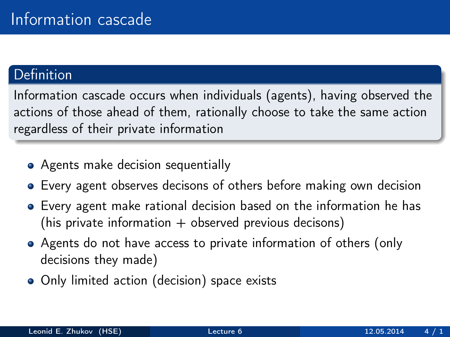#### **Definition**

Information cascade occurs when individuals (agents), having observed the actions of those ahead of them, rationally choose to take the same action regardless of their private information

- Agents make decision sequentially
- Every agent observes decisons of others before making own decision
- Every agent make rational decision based on the information he has (his private information  $+$  observed previous decisons)
- Agents do not have access to private information of others (only decisions they made)
- Only limited action (decision) space exists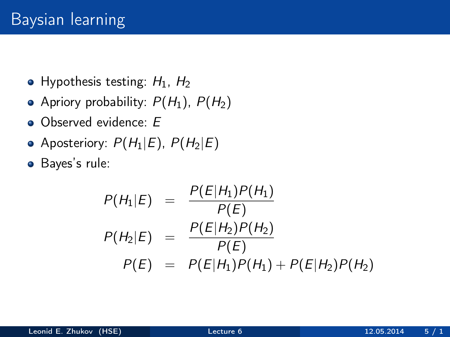- Hypothesis testing:  $H_1$ ,  $H_2$
- Apriory probability:  $P(H_1)$ ,  $P(H_2)$
- Observed evidence: E
- Aposteriory:  $P(H_1|E)$ ,  $P(H_2|E)$
- Bayes's rule:

$$
P(H_1|E) = \frac{P(E|H_1)P(H_1)}{P(E)}
$$
  
\n
$$
P(H_2|E) = \frac{P(E|H_2)P(H_2)}{P(E)}
$$
  
\n
$$
P(E) = P(E|H_1)P(H_1) + P(E|H_2)P(H_2)
$$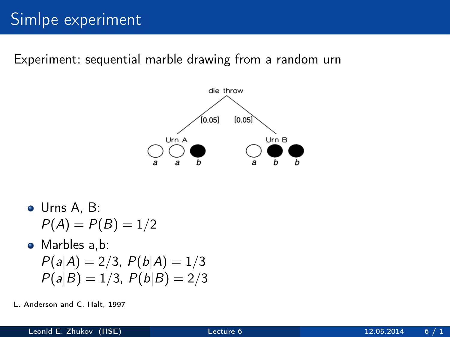Experiment: sequential marble drawing from a random urn



- Urns A, B:  $P(A) = P(B) = 1/2$ • Marbles a.b:  $P(a|A) = 2/3$ ,  $P(b|A) = 1/3$  $P(a|B) = 1/3$ ,  $P(b|B) = 2/3$
- L. Anderson and C. Halt, 1997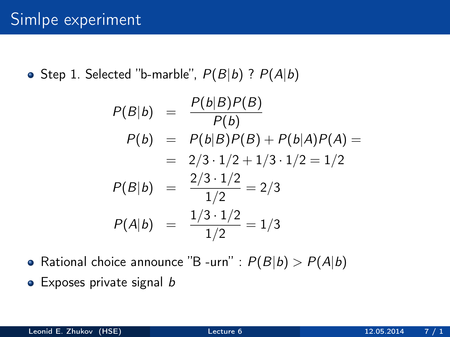• Step 1. Selected "b-marble",  $P(B|b)$  ?  $P(A|b)$ 

$$
P(B|b) = \frac{P(b|B)P(B)}{P(b)}
$$
  
\n
$$
P(b) = P(b|B)P(B) + P(b|A)P(A) =
$$
  
\n
$$
= 2/3 \cdot 1/2 + 1/3 \cdot 1/2 = 1/2
$$
  
\n
$$
P(B|b) = \frac{2/3 \cdot 1/2}{1/2} = 2/3
$$
  
\n
$$
P(A|b) = \frac{1/3 \cdot 1/2}{1/2} = 1/3
$$

- Rational choice announce "B -urn" :  $P(B|b) > P(A|b)$
- $\bullet$  Exposes private signal b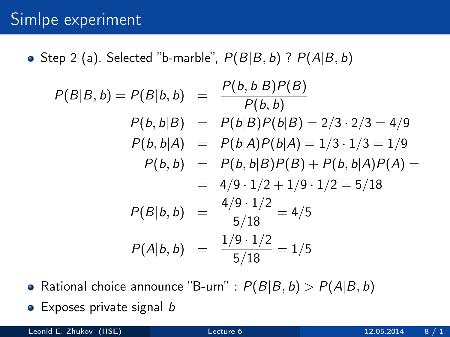• Step 2 (a). Selected "b-marble",  $P(B|B, b)$  ?  $P(A|B, b)$ 

$$
P(B|B, b) = P(B|b, b) = \frac{P(b, b|B)P(B)}{P(b, b)}
$$
  
\n
$$
P(b, b|B) = P(b|B)P(b|B) = 2/3 \cdot 2/3 = 4/9
$$
  
\n
$$
P(b, b|A) = P(b|A)P(b|A) = 1/3 \cdot 1/3 = 1/9
$$
  
\n
$$
P(b, b) = P(b, b|B)P(B) + P(b, b|A)P(A) =
$$
  
\n
$$
= 4/9 \cdot 1/2 + 1/9 \cdot 1/2 = 5/18
$$
  
\n
$$
P(B|b, b) = \frac{4/9 \cdot 1/2}{5/18} = 4/5
$$
  
\n
$$
P(A|b, b) = \frac{1/9 \cdot 1/2}{5/18} = 1/5
$$

• Rational choice announce "B-urn" :  $P(B|B, b) > P(A|B, b)$  $\bullet$  Exposes private signal b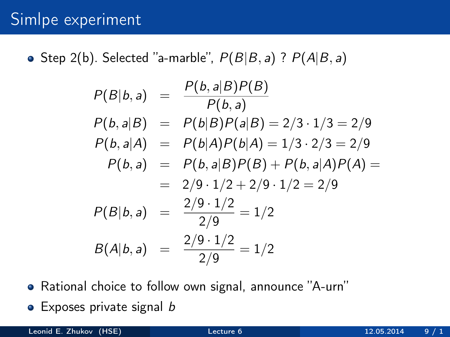• Step 2(b). Selected "a-marble",  $P(B|B, a)$  ?  $P(A|B, a)$ 

$$
P(B|b, a) = \frac{P(b, a|B)P(B)}{P(b, a)}
$$
  
\n
$$
P(b, a|B) = P(b|B)P(a|B) = 2/3 \cdot 1/3 = 2/9
$$
  
\n
$$
P(b, a|A) = P(b|A)P(b|A) = 1/3 \cdot 2/3 = 2/9
$$
  
\n
$$
P(b, a) = P(b, a|B)P(B) + P(b, a|A)P(A) =
$$
  
\n
$$
= 2/9 \cdot 1/2 + 2/9 \cdot 1/2 = 2/9
$$
  
\n
$$
P(B|b, a) = \frac{2/9 \cdot 1/2}{2/9} = 1/2
$$
  
\n
$$
B(A|b, a) = \frac{2/9 \cdot 1/2}{2/9} = 1/2
$$

- Rational choice to follow own signal, announce "A-urn"
- $\bullet$  Exposes private signal b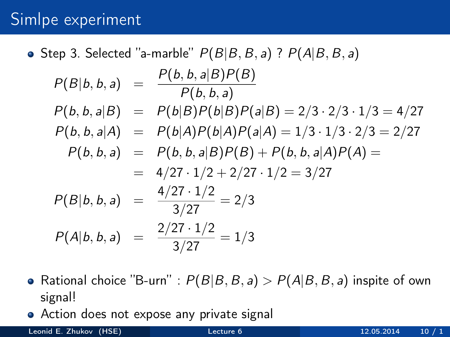- Step 3. Selected "a-marble"  $P(B|B, B, a)$  ?  $P(A|B, B, a)$  $P(B|b, b, a) = \frac{P(b, b, a|B)P(B)}{P(b, b, a)}$  $P(b, b, a|B) = P(b|B)P(b|B)P(a|B) = 2/3 \cdot 2/3 \cdot 1/3 = 4/27$  $P(b, b, a|A) = P(b|A)P(b|A)P(a|A) = 1/3 \cdot 1/3 \cdot 2/3 = 2/27$  $P(b, b, a) = P(b, b, a|B)P(B) + P(b, b, a|A)P(A) =$  $= 4/27 \cdot 1/2 + 2/27 \cdot 1/2 = 3/27$  $P(B|b, b, a) = \frac{4/27 \cdot 1/2}{3/27} = 2/3$  $P(A|b, b, a) = \frac{2/27 \cdot 1/2}{3/27} = 1/3$
- Rational choice "B-urn" :  $P(B|B, B, a) > P(A|B, B, a)$  inspite of own signal!
- Action does not expose any private signal

Leonid E. Zhukov (HSE) [Lecture 6](#page-0-0) 12.05.2014 10 / 1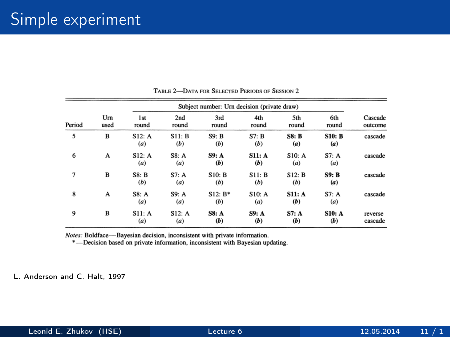| Period | Um<br>used | Subject number: Urn decision (private draw) |               |                     |                     |               |                      |                    |
|--------|------------|---------------------------------------------|---------------|---------------------|---------------------|---------------|----------------------|--------------------|
|        |            | 1 <sub>st</sub><br>round                    | 2nd<br>round  | 3rd<br>round        | 4th<br>round        | 5th<br>round  | 6th<br>round         | Cascade<br>outcome |
| 5      | B          | S12: A<br>(a)                               | S11: B<br>(b) | S9: B<br>(b)        | S7: B<br>(b)        | SS: B<br>(a)  | <b>S10: B</b><br>(a) | cascade            |
| 6      | A          | S12: A<br>(a)                               | S8: A<br>(a)  | S9: A<br>(b)        | S11: A<br>(b)       | S10: A<br>(a) | S7: A<br>(a)         | cascade            |
| 7      | в          | S8: B<br>(b)                                | S7: A<br>(a)  | S10: B<br>(b)       | S11: B<br>(b)       | S12: B<br>(b) | S9: B<br>(a)         | cascade            |
| 8      | A          | S8: A<br>(a)                                | S9: A<br>(a)  | $S12: B*$<br>(b)    | S10: A<br>(a)       | S11: A<br>(b) | S7: A<br>(a)         | cascade            |
| 9      | B          | S11: A<br>(a)                               | S12: A<br>(a) | <b>S8: A</b><br>(b) | <b>S9: A</b><br>(b) | S7: A<br>(b)  | <b>S10: A</b><br>(b) | reverse<br>cascade |

#### TABLE 2-DATA FOR SELECTED PERIODS OF SESSION 2

Notes: Boldface-Bayesian decision, inconsistent with private information.

\*-Decision based on private information, inconsistent with Bayesian updating.

L. Anderson and C. Halt, 1997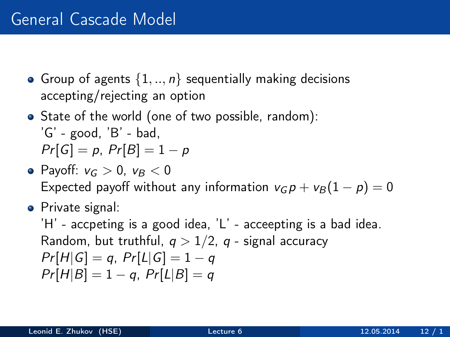- Group of agents  $\{1, ..., n\}$  sequentially making decisions accepting/rejecting an option
- State of the world (one of two possible, random):  $'G'$  - good,  $'B'$  - bad,  $Pr[G] = p$ ,  $Pr[B] = 1 - p$
- Payoff:  $v_c > 0$ ,  $v_B < 0$ Expected payoff without any information  $v_G p + v_B (1 - p) = 0$
- **•** Private signal:

'H' - accpeting is a good idea, 'L' - acceepting is a bad idea. Random, but truthful,  $q > 1/2$ , q - signal accuracy  $Pr[H|G] = q$ ,  $Pr[L|G] = 1 - q$  $Pr[H|B] = 1 - a$ ,  $Pr[L|B] = a$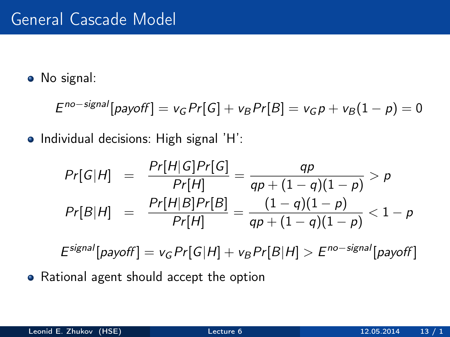• No signal:

$$
Eno-signal[payoff] = vG Pr[G] + vB Pr[B] = vG p + vB(1 - p) = 0
$$

• Individual decisions: High signal 'H':

$$
Pr[G|H] = \frac{Pr[H|G]Pr[G]}{Pr[H]} = \frac{qp}{qp + (1 - q)(1 - p)} > p
$$
  

$$
Pr[B|H] = \frac{Pr[H|B]Pr[B]}{Pr[H]} = \frac{(1 - q)(1 - p)}{qp + (1 - q)(1 - p)} < 1 - p
$$

 $E^{signal}[payoff] = v_G Pr[G|H] + v_B Pr[B|H] > E^{no-signal}[payoff]$ 

• Rational agent should accept the option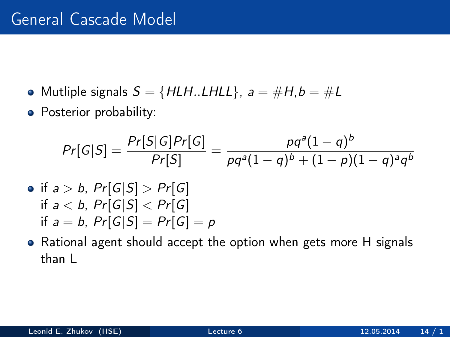- Mutliple signals  $S = \{HLH$ ...LHLL $\}$ ,  $a = \#H$ ,  $b = \#L$
- Posterior probability:

$$
Pr[G|S] = \frac{Pr[S|G]Pr[G]}{Pr[S]} = \frac{pq^{a}(1-q)^{b}}{pq^{a}(1-q)^{b} + (1-p)(1-q)^{a}q^{b}}
$$
\n• if a > b, Pr[G|S] > Pr[G]\n if a < b, Pr[G|S] < Pr[G]\n if a = b, Pr[G|S] = Pr[G] = p

Rational agent should accept the option when gets more H signals than L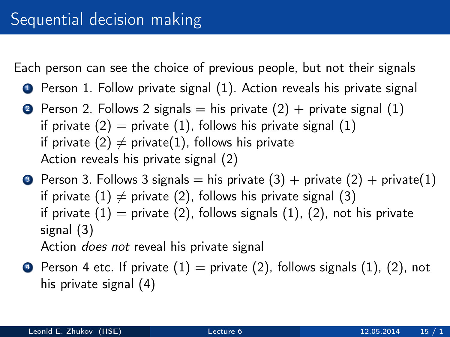Each person can see the choice of previous people, but not their signals

- **1** Person 1. Follow private signal (1). Action reveals his private signal
- **2** Person 2. Follows 2 signals  $=$  his private (2)  $+$  private signal (1) if private  $(2)$  = private  $(1)$ , follows his private signal  $(1)$ if private (2)  $\neq$  private(1), follows his private Action reveals his private signal (2)
- **3** Person 3. Follows 3 signals = his private  $(3)$  + private  $(2)$  + private $(1)$ if private (1)  $\neq$  private (2), follows his private signal (3) if private  $(1)$  = private  $(2)$ , follows signals  $(1)$ ,  $(2)$ , not his private signal (3) Action does not reveal his private signal
- $\bullet$  Person 4 etc. If private  $(1)$  = private  $(2)$ , follows signals  $(1)$ ,  $(2)$ , not his private signal (4)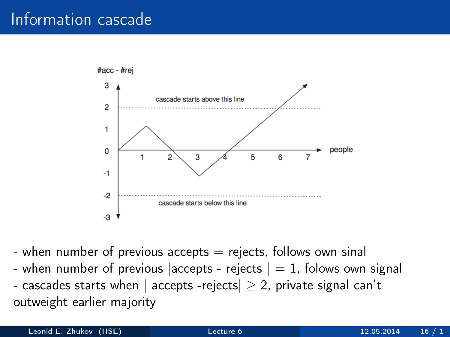

- when number of previous accepts  $=$  rejects, follows own sinal - when number of previous accepts - rejects  $|= 1$ , folows own signal - cascades starts when | accepts -rejects  $| \geq 2$ , private signal can't outweight earlier majority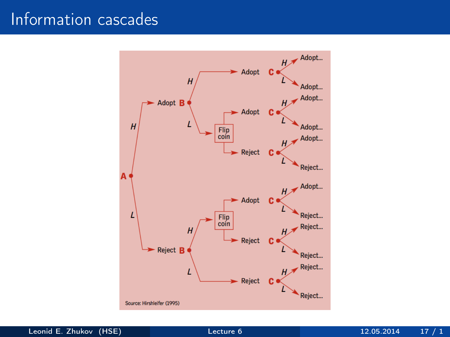

Leonid E. Zhukov (HSE) [Lecture 6](#page-0-0) 12.05.2014 17 / 1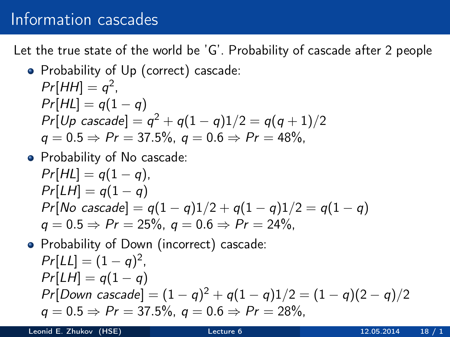Let the true state of the world be 'G'. Probability of cascade after 2 people

• Probability of Up (correct) cascade:  
\n
$$
Pr[HH] = q^2
$$
,  
\n $Pr[HL] = q(1 - q)$   
\n $Pr[Up cascade] = q^2 + q(1 - q)1/2 = q(q + 1)/2$   
\n $q = 0.5 \Rightarrow Pr = 37.5\%, q = 0.6 \Rightarrow Pr = 48\%,$ 

• Probability of No cascade:  
\n
$$
Pr[HL] = q(1 - q)
$$
,  
\n $Pr[LH] = q(1 - q)$   
\n $Pr[No \; cascade] = q(1 - q)1/2 + q(1 - q)1/2 = q(1 - q)$   
\n $q = 0.5 \Rightarrow Pr = 25\%, q = 0.6 \Rightarrow Pr = 24\%,$ 

\n- Probability of Down (incorrect) cascade: 
$$
Pr[LL] = (1 - q)^2
$$
,  $Pr[LH] = q(1 - q)$ ,  $Pr[Down\ cascade] = (1 - q)^2 + q(1 - q)1/2 = (1 - q)(2 - q)/2$ ,  $q = 0.5 \Rightarrow Pr = 37.5\%$ ,  $q = 0.6 \Rightarrow Pr = 28\%$ ,
\n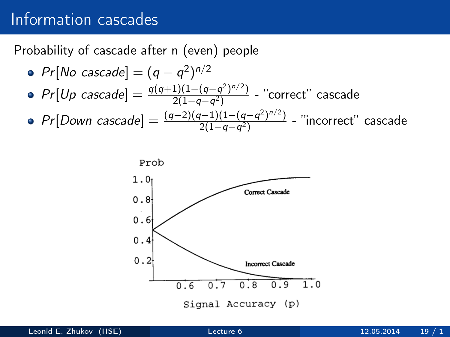Probability of cascade after n (even) people

\n- $$
Pr[No \text{ cascade}] = (q - q^2)^{n/2}
$$
\n- $Pr[Up \text{ cascade}] = \frac{q(q+1)(1-(q-q^2)^{n/2})}{2(1-q-q^2)}$  - "correct" cascade
\n- $Pr[Down \text{ cascade}] = \frac{(q-2)(q-1)(1-(q-q^2)^{n/2})}{2(1-q-q^2)}$  - "incorrect" cascade
\n

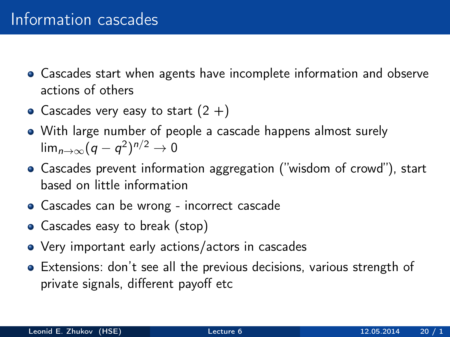- Cascades start when agents have incomplete information and observe actions of others
- Cascades very easy to start  $(2 +)$
- With large number of people a cascade happens almost surely lim $_{n\to\infty}(q-q^2)^{n/2}\to 0$
- Cascades prevent information aggregation ("wisdom of crowd"), start based on little information
- Cascades can be wrong incorrect cascade
- Cascades easy to break (stop)
- Very important early actions/actors in cascades
- Extensions: don't see all the previous decisions, various strength of private signals, different payoff etc